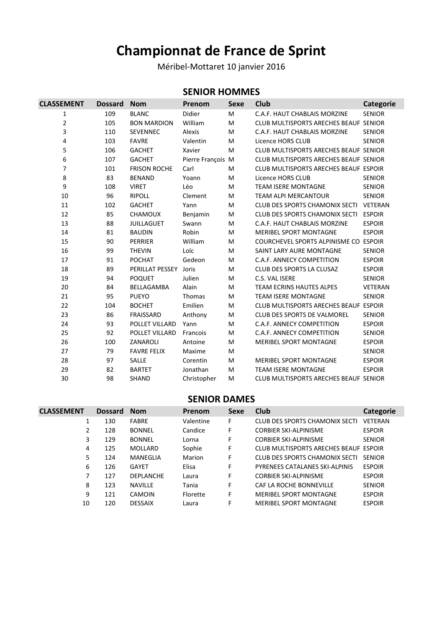# **Championnat de France de Sprint**

Méribel-Mottaret 10 janvier 2016

#### **SENIOR HOMMES**

| <b>CLASSEMENT</b> | <b>Dossard</b> | <b>Nom</b>          | Prenom            | <b>Sexe</b> | Club                                         | <b>Categorie</b> |
|-------------------|----------------|---------------------|-------------------|-------------|----------------------------------------------|------------------|
| 1                 | 109            | <b>BLANC</b>        | Didier            | M           | C.A.F. HAUT CHABLAIS MORZINE                 | <b>SENIOR</b>    |
| $\overline{2}$    | 105            | <b>BON MARDION</b>  | William           | M           | CLUB MULTISPORTS ARECHES BEAUF SENIOR        |                  |
| 3                 | 110            | <b>SEVENNEC</b>     | <b>Alexis</b>     | M           | C.A.F. HAUT CHABLAIS MORZINE                 | <b>SENIOR</b>    |
| 4                 | 103            | <b>FAVRE</b>        | Valentin          | M           | Licence HORS CLUB                            | <b>SENIOR</b>    |
| 5                 | 106            | <b>GACHET</b>       | Xavier            | M           | CLUB MULTISPORTS ARECHES BEAUF SENIOR        |                  |
| 6                 | 107            | <b>GACHET</b>       | Pierre François M |             | CLUB MULTISPORTS ARECHES BEAUF SENIOR        |                  |
| 7                 | 101            | <b>FRISON ROCHE</b> | Carl              | M           | CLUB MULTISPORTS ARECHES BEAUF ESPOIR        |                  |
| 8                 | 83             | <b>BENAND</b>       | Yoann             | M           | Licence HORS CLUB                            | <b>SENIOR</b>    |
| 9                 | 108            | <b>VIRET</b>        | Léo               | M           | <b>TEAM ISERE MONTAGNE</b>                   | <b>SENIOR</b>    |
| 10                | 96             | <b>RIPOLL</b>       | Clement           | M           | <b>TEAM ALPI MERCANTOUR</b>                  | <b>SENIOR</b>    |
| 11                | 102            | <b>GACHET</b>       | Yann              | M           | <b>CLUB DES SPORTS CHAMONIX SECTI</b>        | VETERAN          |
| 12                | 85             | <b>CHAMOUX</b>      | Benjamin          | M           | <b>CLUB DES SPORTS CHAMONIX SECTI</b>        | <b>ESPOIR</b>    |
| 13                | 88             | <b>JUILLAGUET</b>   | Swann             | M           | C.A.F. HAUT CHABLAIS MORZINE                 | <b>ESPOIR</b>    |
| 14                | 81             | <b>BAUDIN</b>       | Robin             | M           | <b>MERIBEL SPORT MONTAGNE</b>                | <b>ESPOIR</b>    |
| 15                | 90             | <b>PERRIER</b>      | William           | M           | COURCHEVEL SPORTS ALPINISME CO ESPOIR        |                  |
| 16                | 99             | <b>THEVIN</b>       | Loïc              | M           | SAINT LARY AURE MONTAGNE                     | <b>SENIOR</b>    |
| 17                | 91             | <b>POCHAT</b>       | Gedeon            | M           | C.A.F. ANNECY COMPETITION                    | <b>ESPOIR</b>    |
| 18                | 89             | PERILLAT PESSEY     | Joris             | M           | CLUB DES SPORTS LA CLUSAZ                    | <b>ESPOIR</b>    |
| 19                | 94             | <b>POQUET</b>       | Julien            | M           | C.S. VAL ISERE                               | <b>SENIOR</b>    |
| 20                | 84             | BELLAGAMBA          | Alain             | M           | <b>TEAM ECRINS HAUTES ALPES</b>              | VETERAN          |
| 21                | 95             | <b>PUEYO</b>        | Thomas            | M           | <b>TEAM ISERE MONTAGNE</b>                   | <b>SENIOR</b>    |
| 22                | 104            | <b>BOCHET</b>       | Emilien           | M           | <b>CLUB MULTISPORTS ARECHES BEAUF ESPOIR</b> |                  |
| 23                | 86             | FRAISSARD           | Anthony           | M           | <b>CLUB DES SPORTS DE VALMOREL</b>           | <b>SENIOR</b>    |
| 24                | 93             | POLLET VILLARD      | Yann              | M           | C.A.F. ANNECY COMPETITION                    | <b>ESPOIR</b>    |
| 25                | 92             | POLLET VILLARD      | Francois          | M           | C.A.F. ANNECY COMPETITION                    | <b>SENIOR</b>    |
| 26                | 100            | ZANAROLI            | Antoine           | M           | <b>MERIBEL SPORT MONTAGNE</b>                | <b>ESPOIR</b>    |
| 27                | 79             | <b>FAVRE FELIX</b>  | Maxime            | M           |                                              | <b>SENIOR</b>    |
| 28                | 97             | SALLE               | Corentin          | M           | <b>MERIBEL SPORT MONTAGNE</b>                | <b>ESPOIR</b>    |
| 29                | 82             | <b>BARTET</b>       | Jonathan          | M           | <b>TEAM ISERE MONTAGNE</b>                   | <b>ESPOIR</b>    |
| 30                | 98             | <b>SHAND</b>        | Christopher       | M           | CLUB MULTISPORTS ARECHES BEAUF SENIOR        |                  |

#### **SENIOR DAMES**

| <b>CLASSEMENT</b> | <b>Dossard</b> | <b>Nom</b>       | <b>Prenom</b> | Sexe | Club                                  | <b>Categorie</b> |
|-------------------|----------------|------------------|---------------|------|---------------------------------------|------------------|
| 1                 | 130            | <b>FABRE</b>     | Valentine     | F    | <b>CLUB DES SPORTS CHAMONIX SECTI</b> | <b>VETERAN</b>   |
| 2                 | 128            | <b>BONNEL</b>    | Candice       | F    | <b>CORBIER SKI-ALPINISME</b>          | <b>ESPOIR</b>    |
| 3                 | 129            | <b>BONNEL</b>    | Lorna         | F    | <b>CORBIER SKI-ALPINISME</b>          | <b>SENIOR</b>    |
| 4                 | 125            | MOLLARD          | Sophie        | F    | CLUB MULTISPORTS ARECHES BEAUF ESPOIR |                  |
| 5                 | 124            | MANEGLIA         | Marion        | F    | CLUB DES SPORTS CHAMONIX SECTI        | <b>SENIOR</b>    |
| 6                 | 126            | <b>GAYET</b>     | Elisa         | F    | PYRENEES CATALANES SKI-ALPINIS        | <b>ESPOIR</b>    |
| 7                 | 127            | <b>DEPLANCHE</b> | Laura         | F    | <b>CORBIER SKI-ALPINISME</b>          | <b>ESPOIR</b>    |
| 8                 | 123            | <b>NAVILLE</b>   | Tania         | F    | CAF LA ROCHE BONNEVILLE               | <b>SENIOR</b>    |
| 9                 | 121            | CAMOIN           | Florette      | F    | <b>MERIBEL SPORT MONTAGNE</b>         | <b>ESPOIR</b>    |
| 10                | 120            | <b>DESSAIX</b>   | Laura         | F    | <b>MERIBEL SPORT MONTAGNE</b>         | <b>ESPOIR</b>    |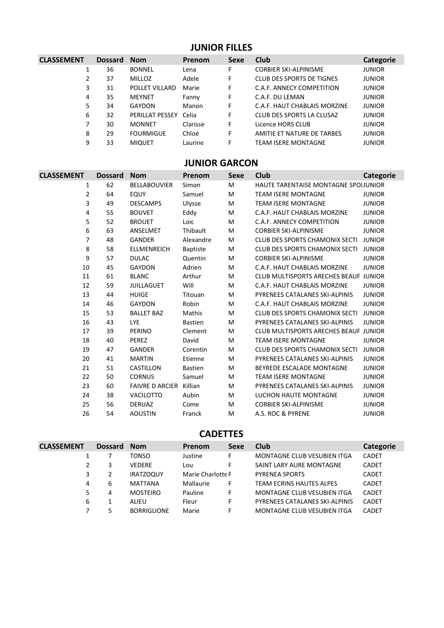### **JUNIOR FILLES**

| <b>CLASSEMENT</b> | <b>Dossard</b> | <b>Nom</b>            | <b>Prenom</b> | Sexe | <b>Club</b>                      | <b>Categorie</b> |
|-------------------|----------------|-----------------------|---------------|------|----------------------------------|------------------|
|                   | 36             | <b>BONNEL</b>         | Lena          | F    | <b>CORBIER SKI-ALPINISME</b>     | <b>JUNIOR</b>    |
| 2                 | 37             | <b>MILLOZ</b>         | Adele         | F    | <b>CLUB DES SPORTS DE TIGNES</b> | <b>JUNIOR</b>    |
| 3                 | 31             | POLLET VILLARD        | Marie         | F    | C.A.F. ANNECY COMPETITION        | <b>JUNIOR</b>    |
| 4                 | 35             | <b>MEYNET</b>         | Fanny         | F    | C.A.F. DU LEMAN                  | <b>JUNIOR</b>    |
| 5                 | 34             | GAYDON                | Manon         | F    | C.A.F. HAUT CHABLAIS MORZINE     | <b>JUNIOR</b>    |
| 6                 | 32             | PERILLAT PESSEY Celia |               | F    | CLUB DES SPORTS LA CLUSAZ        | <b>JUNIOR</b>    |
| 7                 | 30             | <b>MONNET</b>         | Clarisse      | F    | Licence HORS CLUB                | <b>JUNIOR</b>    |
| 8                 | 29             | <b>FOURMIGUE</b>      | Chloé         | F    | AMITIE ET NATURE DE TARBES       | <b>JUNIOR</b>    |
| 9                 | 33             | <b>MIQUET</b>         | Laurine       | F    | <b>TEAM ISERE MONTAGNE</b>       | <b>JUNIOR</b>    |

# **JUNIOR GARCON**

| <b>CLASSEMENT</b> | <b>Dossard</b> | <b>Nom</b>                     | Prenom          | <b>Sexe</b> | Club                                         | <b>Categorie</b> |
|-------------------|----------------|--------------------------------|-----------------|-------------|----------------------------------------------|------------------|
| 1                 | 62             | <b>BELLABOUVIER</b>            | Simon           | M           | HAUTE TARENTAISE MONTAGNE SPOIJUNIOR         |                  |
| $\overline{2}$    | 64             | EQUY                           | Samuel          | M           | <b>TEAM ISERE MONTAGNE</b>                   | <b>JUNIOR</b>    |
| 3                 | 49             | <b>DESCAMPS</b>                | Ulysse          | M           | <b>TEAM ISERE MONTAGNE</b>                   | <b>JUNIOR</b>    |
| 4                 | 55             | <b>BOUVET</b>                  | Eddy            | M           | C.A.F. HAUT CHABLAIS MORZINE                 | <b>JUNIOR</b>    |
| 5                 | 52             | <b>BROUET</b>                  | Loic            | M           | C.A.F. ANNECY COMPETITION                    | <b>JUNIOR</b>    |
| 6                 | 63             | ANSELMET                       | Thibault        | M           | <b>CORBIER SKI-ALPINISME</b>                 | <b>JUNIOR</b>    |
| 7                 | 48             | <b>GANDER</b>                  | Alexandre       | M           | <b>CLUB DES SPORTS CHAMONIX SECTI</b>        | <b>JUNIOR</b>    |
| 8                 | 58             | <b>ELLMENREICH</b>             | <b>Baptiste</b> | M           | <b>CLUB DES SPORTS CHAMONIX SECTI</b>        | <b>JUNIOR</b>    |
| 9                 | 57             | <b>DULAC</b>                   | Quentin         | M           | <b>CORBIER SKI-ALPINISME</b>                 | <b>JUNIOR</b>    |
| 10                | 45             | GAYDON                         | Adrien          | M           | C.A.F. HAUT CHABLAIS MORZINE                 | <b>JUNIOR</b>    |
| 11                | 61             | <b>BLANC</b>                   | Arthur          | M           | <b>CLUB MULTISPORTS ARECHES BEAUF JUNIOR</b> |                  |
| 12                | 59             | <b>JUILLAGUET</b>              | Will            | M           | C.A.F. HAUT CHABLAIS MORZINE                 | <b>JUNIOR</b>    |
| 13                | 44             | <b>HUIGE</b>                   | Titouan         | M           | PYRENEES CATALANES SKI-ALPINIS               | <b>JUNIOR</b>    |
| 14                | 46             | <b>GAYDON</b>                  | Robin           | M           | C.A.F. HAUT CHABLAIS MORZINE                 | <b>JUNIOR</b>    |
| 15                | 53             | <b>BALLET BAZ</b>              | Mathis          | M           | <b>CLUB DES SPORTS CHAMONIX SECTI</b>        | <b>JUNIOR</b>    |
| 16                | 43             | <b>LYE</b>                     | <b>Bastien</b>  | M           | PYRENEES CATALANES SKI-ALPINIS               | <b>JUNIOR</b>    |
| 17                | 39             | <b>PERINO</b>                  | Clement         | M           | CLUB MULTISPORTS ARECHES BEAUF JUNIOR        |                  |
| 18                | 40             | PEREZ                          | David           | M           | <b>TEAM ISERE MONTAGNE</b>                   | <b>JUNIOR</b>    |
| 19                | 47             | <b>GANDER</b>                  | Corentin        | M           | <b>CLUB DES SPORTS CHAMONIX SECTI</b>        | <b>JUNIOR</b>    |
| 20                | 41             | <b>MARTIN</b>                  | Etienne         | M           | PYRENEES CATALANES SKI-ALPINIS               | <b>JUNIOR</b>    |
| 21                | 51             | <b>CASTILLON</b>               | <b>Bastien</b>  | M           | BEYREDE ESCALADE MONTAGNE                    | <b>JUNIOR</b>    |
| 22                | 50             | <b>CORNUS</b>                  | Samuel          | M           | <b>TEAM ISERE MONTAGNE</b>                   | <b>JUNIOR</b>    |
| 23                | 60             | <b>FAIVRE D ARCIER Killian</b> |                 | M           | PYRENEES CATALANES SKI-ALPINIS               | <b>JUNIOR</b>    |
| 24                | 38             | <b>VACILOTTO</b>               | Aubin           | M           | LUCHON HAUTE MONTAGNE                        | <b>JUNIOR</b>    |
| 25                | 56             | <b>DERUAZ</b>                  | Come            | M           | <b>CORBIER SKI-ALPINISME</b>                 | <b>JUNIOR</b>    |
| 26                | 54             | <b>AOUSTIN</b>                 | Franck          | M           | A.S. ROC & PYRENE                            | <b>JUNIOR</b>    |
|                   |                |                                |                 |             |                                              |                  |

#### **CADETTES**

| <b>CLASSEMENT</b> | <b>Dossard</b> | <b>Nom</b>         | Prenom            | <b>Sexe</b> | <b>Club</b>                     | Categorie    |
|-------------------|----------------|--------------------|-------------------|-------------|---------------------------------|--------------|
|                   |                | TONSO              | Justine           |             | MONTAGNE CLUB VESUBIEN ITGA     | <b>CADET</b> |
|                   | 3              | <b>VEDERE</b>      | Lou               |             | SAINT LARY AURE MONTAGNE        | <b>CADET</b> |
|                   |                | <b>IRATZOQUY</b>   | Marie Charlotte F |             | <b>PYRENEA SPORTS</b>           | <b>CADET</b> |
| 4                 | 6              | <b>MATTANA</b>     | Mallaurie         |             | <b>TEAM ECRINS HAUTES ALPES</b> | <b>CADET</b> |
|                   | 4              | <b>MOSTEIRO</b>    | Pauline           |             | MONTAGNE CLUB VESUBIEN ITGA     | <b>CADET</b> |
| 6                 |                | ALIEU              | Fleur             |             | PYRENEES CATALANES SKI-ALPINIS  | <b>CADET</b> |
|                   |                | <b>BORRIGLIONE</b> | Marie             |             | MONTAGNE CLUB VESUBIEN ITGA     | <b>CADET</b> |